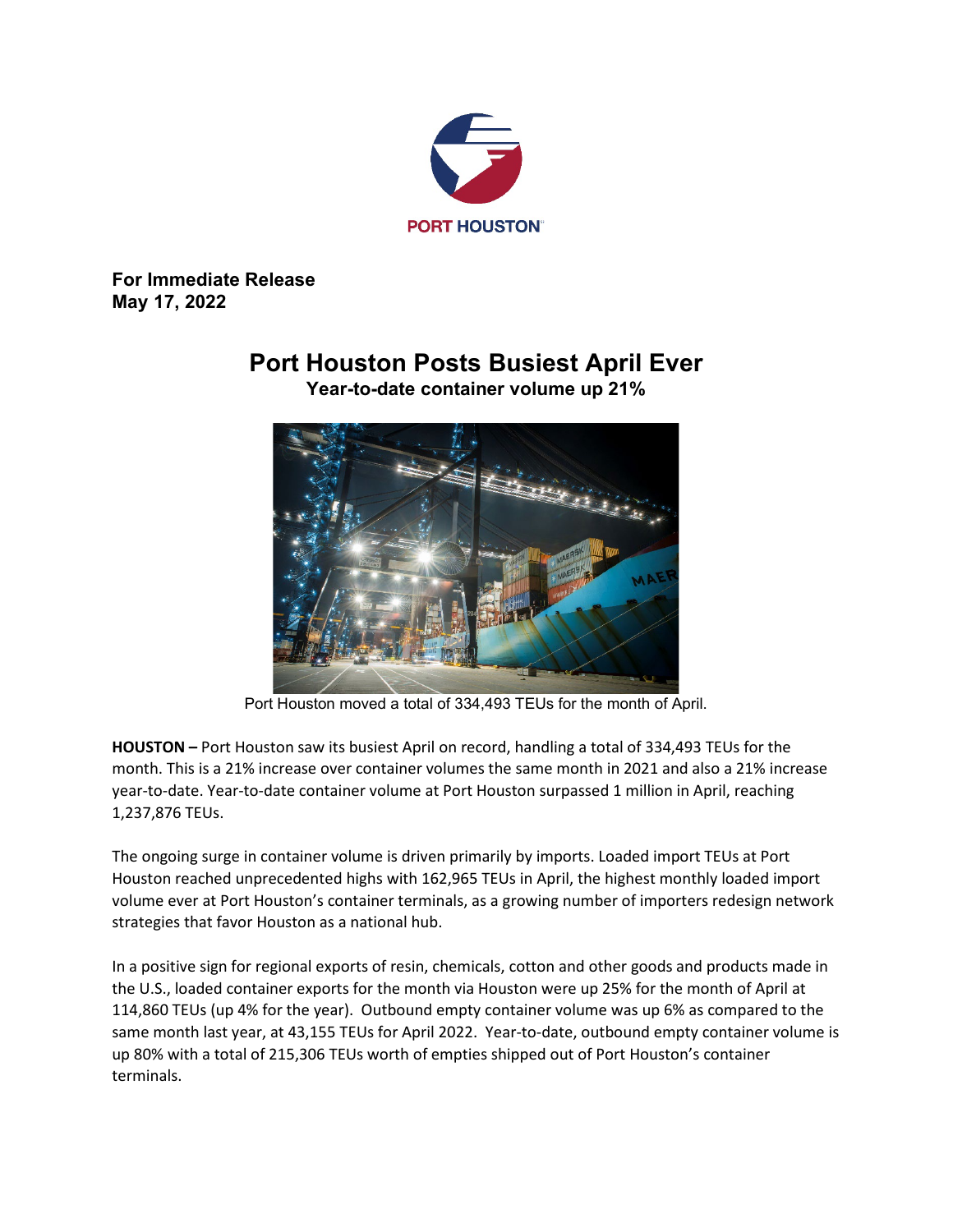

**For Immediate Release May 17, 2022**

## **Port Houston Posts Busiest April Ever**



**Year-to-date container volume up 21%**

Port Houston moved a total of 334,493 TEUs for the month of April.

**HOUSTON –** Port Houston saw its busiest April on record, handling a total of 334,493 TEUs for the month. This is a 21% increase over container volumes the same month in 2021 and also a 21% increase year-to-date. Year-to-date container volume at Port Houston surpassed 1 million in April, reaching 1,237,876 TEUs.

The ongoing surge in container volume is driven primarily by imports. Loaded import TEUs at Port Houston reached unprecedented highs with 162,965 TEUs in April, the highest monthly loaded import volume ever at Port Houston's container terminals, as a growing number of importers redesign network strategies that favor Houston as a national hub.

In a positive sign for regional exports of resin, chemicals, cotton and other goods and products made in the U.S., loaded container exports for the month via Houston were up 25% for the month of April at 114,860 TEUs (up 4% for the year). Outbound empty container volume was up 6% as compared to the same month last year, at 43,155 TEUs for April 2022. Year-to-date, outbound empty container volume is up 80% with a total of 215,306 TEUs worth of empties shipped out of Port Houston's container terminals.